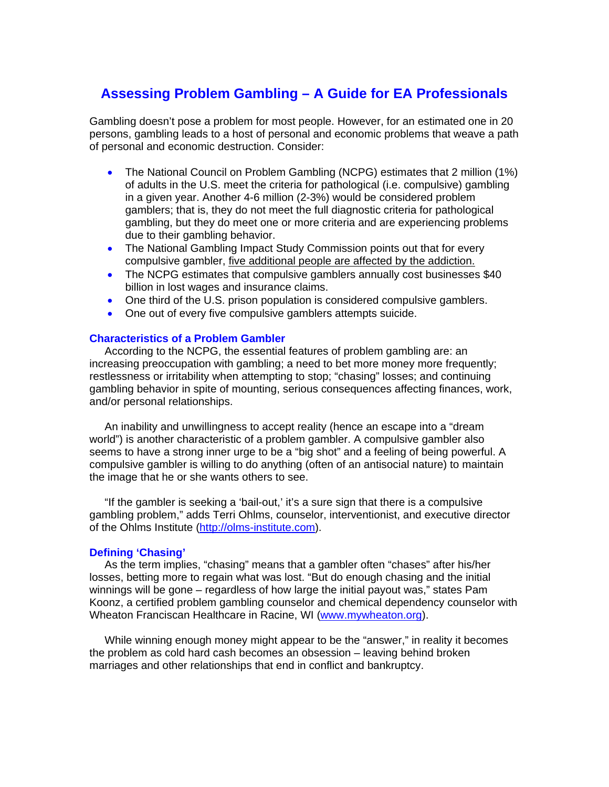# **Assessing Problem Gambling – A Guide for EA Professionals**

Gambling doesn't pose a problem for most people. However, for an estimated one in 20 persons, gambling leads to a host of personal and economic problems that weave a path of personal and economic destruction. Consider:

- The National Council on Problem Gambling (NCPG) estimates that 2 million (1%) of adults in the U.S. meet the criteria for pathological (i.e. compulsive) gambling in a given year. Another 4-6 million (2-3%) would be considered problem gamblers; that is, they do not meet the full diagnostic criteria for pathological gambling, but they do meet one or more criteria and are experiencing problems due to their gambling behavior.
- The National Gambling Impact Study Commission points out that for every compulsive gambler, five additional people are affected by the addiction.
- The NCPG estimates that compulsive gamblers annually cost businesses \$40 billion in lost wages and insurance claims.
- One third of the U.S. prison population is considered compulsive gamblers.
- One out of every five compulsive gamblers attempts suicide.

## **Characteristics of a Problem Gambler**

 According to the NCPG, the essential features of problem gambling are: an increasing preoccupation with gambling; a need to bet more money more frequently; restlessness or irritability when attempting to stop; "chasing" losses; and continuing gambling behavior in spite of mounting, serious consequences affecting finances, work, and/or personal relationships.

 An inability and unwillingness to accept reality (hence an escape into a "dream world") is another characteristic of a problem gambler. A compulsive gambler also seems to have a strong inner urge to be a "big shot" and a feeling of being powerful. A compulsive gambler is willing to do anything (often of an antisocial nature) to maintain the image that he or she wants others to see.

 "If the gambler is seeking a 'bail-out,' it's a sure sign that there is a compulsive gambling problem," adds Terri Ohlms, counselor, interventionist, and executive director of the Ohlms Institute (http://olms-institute.com).

## **Defining 'Chasing'**

 As the term implies, "chasing" means that a gambler often "chases" after his/her losses, betting more to regain what was lost. "But do enough chasing and the initial winnings will be gone – regardless of how large the initial payout was," states Pam Koonz, a certified problem gambling counselor and chemical dependency counselor with Wheaton Franciscan Healthcare in Racine, WI (www.mywheaton.org).

 While winning enough money might appear to be the "answer," in reality it becomes the problem as cold hard cash becomes an obsession – leaving behind broken marriages and other relationships that end in conflict and bankruptcy.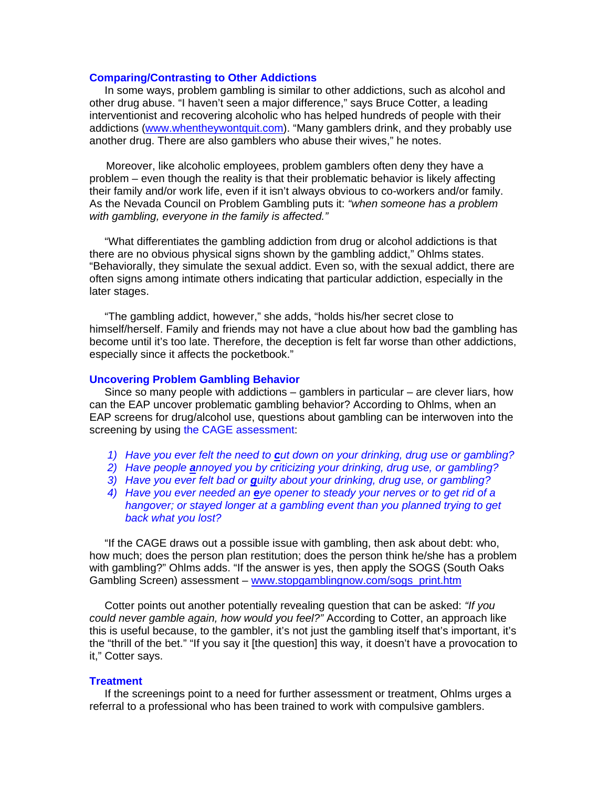#### **Comparing/Contrasting to Other Addictions**

 In some ways, problem gambling is similar to other addictions, such as alcohol and other drug abuse. "I haven't seen a major difference," says Bruce Cotter, a leading interventionist and recovering alcoholic who has helped hundreds of people with their addictions (www.whentheywontquit.com). "Many gamblers drink, and they probably use another drug. There are also gamblers who abuse their wives," he notes.

 Moreover, like alcoholic employees, problem gamblers often deny they have a problem – even though the reality is that their problematic behavior is likely affecting their family and/or work life, even if it isn't always obvious to co-workers and/or family. As the Nevada Council on Problem Gambling puts it: *"when someone has a problem with gambling, everyone in the family is affected."* 

 "What differentiates the gambling addiction from drug or alcohol addictions is that there are no obvious physical signs shown by the gambling addict," Ohlms states. "Behaviorally, they simulate the sexual addict. Even so, with the sexual addict, there are often signs among intimate others indicating that particular addiction, especially in the later stages.

 "The gambling addict, however," she adds, "holds his/her secret close to himself/herself. Family and friends may not have a clue about how bad the gambling has become until it's too late. Therefore, the deception is felt far worse than other addictions, especially since it affects the pocketbook."

## **Uncovering Problem Gambling Behavior**

 Since so many people with addictions – gamblers in particular – are clever liars, how can the EAP uncover problematic gambling behavior? According to Ohlms, when an EAP screens for drug/alcohol use, questions about gambling can be interwoven into the screening by using the CAGE assessment:

- *1) Have you ever felt the need to cut down on your drinking, drug use or gambling?*
- *2) Have people annoyed you by criticizing your drinking, drug use, or gambling?*
- *3) Have you ever felt bad or guilty about your drinking, drug use, or gambling?*
- *4) Have you ever needed an eye opener to steady your nerves or to get rid of a hangover; or stayed longer at a gambling event than you planned trying to get back what you lost?*

 "If the CAGE draws out a possible issue with gambling, then ask about debt: who, how much; does the person plan restitution; does the person think he/she has a problem with gambling?" Ohlms adds. "If the answer is yes, then apply the SOGS (South Oaks Gambling Screen) assessment – www.stopgamblingnow.com/sogs\_print.htm

 Cotter points out another potentially revealing question that can be asked: *"If you could never gamble again, how would you feel?"* According to Cotter, an approach like this is useful because, to the gambler, it's not just the gambling itself that's important, it's the "thrill of the bet." "If you say it [the question] this way, it doesn't have a provocation to it," Cotter says.

## **Treatment**

 If the screenings point to a need for further assessment or treatment, Ohlms urges a referral to a professional who has been trained to work with compulsive gamblers.